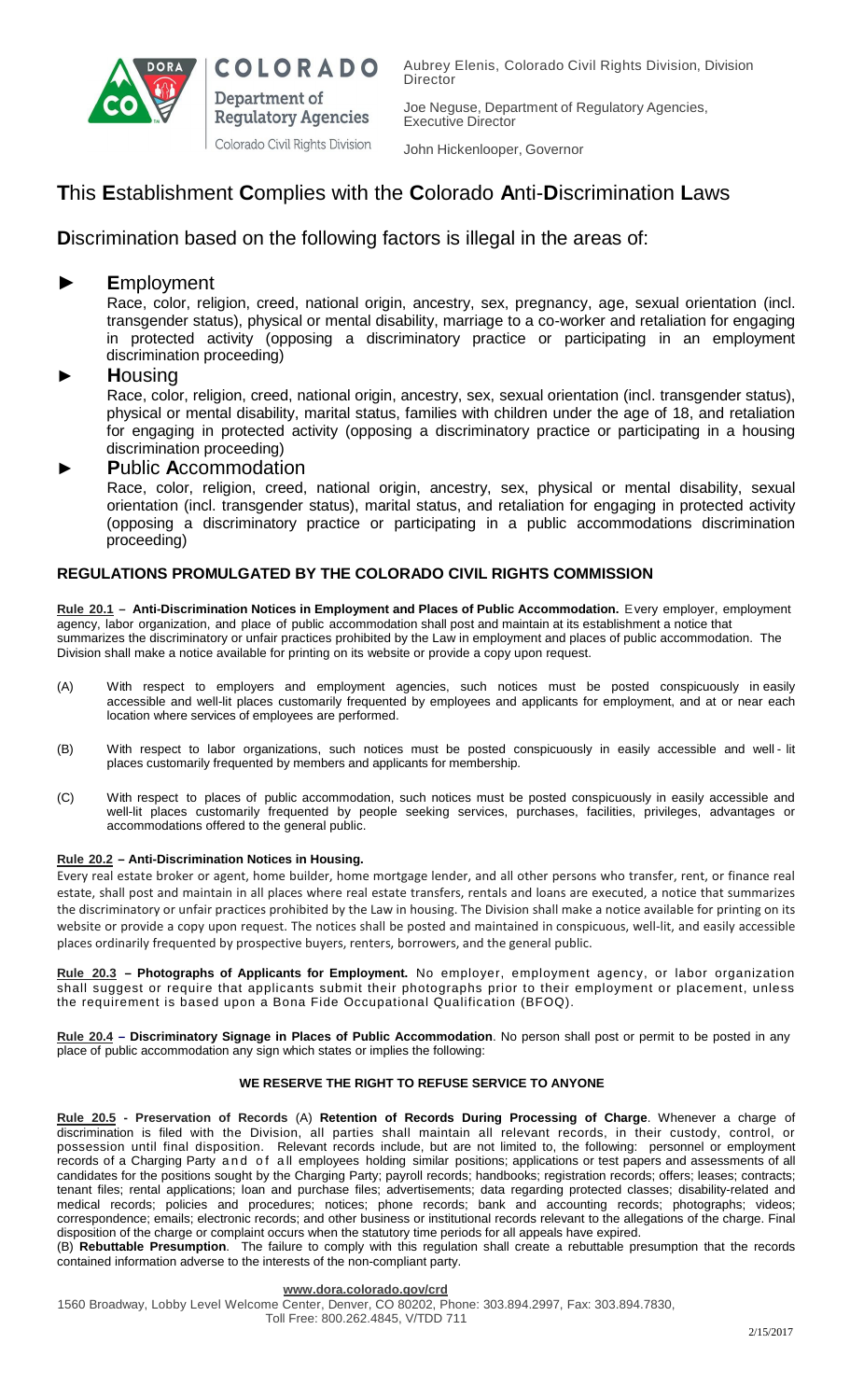

Aubrey Elenis, Colorado Civil Rights Division, Division **Director** 

Joe Neguse, Department of Regulatory Agencies, Executive Director

John Hickenlooper, Governor

# **T**his **E**stablishment **C**omplies with the **C**olorado **A**nti-**D**iscrimination **L**aws

## **Discrimination based on the following factors is illegal in the areas of:**

**COLORADO** 

**Regulatory Agencies** Colorado Civil Rights Division

Department of

### ► **E**mployment

Race, color, religion, creed, national origin, ancestry, sex, pregnancy, age, sexual orientation (incl. transgender status), physical or mental disability, marriage to a co-worker and retaliation for engaging in protected activity (opposing a discriminatory practice or participating in an employment discrimination proceeding)

### **► H**ousing

Race, color, religion, creed, national origin, ancestry, sex, sexual orientation (incl. transgender status), physical or mental disability, marital status, families with children under the age of 18, and retaliation for engaging in protected activity (opposing a discriminatory practice or participating in a housing discrimination proceeding)

### ► **P**ublic **A**ccommodation

Race, color, religion, creed, national origin, ancestry, sex, physical or mental disability, sexual orientation (incl. transgender status), marital status, and retaliation for engaging in protected activity (opposing a discriminatory practice or participating in a public accommodations discrimination proceeding)

### **REGULATIONS PROMULGATED BY THE COLORADO CIVIL RIGHTS COMMISSION**

**Rule 20.1 – Anti-Discrimination Notices in Employment and Places of Public Accommodation.** Every employer, employment agency, labor organization, and place of public accommodation shall post and maintain at its establishment a notice that summarizes the discriminatory or unfair practices prohibited by the Law in employment and places of public accommodation. The Division shall make a notice available for printing on its website or provide a copy upon request.

- (A) With respect to employers and employment agencies, such notices must be posted conspicuously in easily accessible and well-lit places customarily frequented by employees and applicants for employment, and at or near each location where services of employees are performed.
- (B) With respect to labor organizations, such notices must be posted conspicuously in easily accessible and well lit places customarily frequented by members and applicants for membership.
- (C) With respect to places of public accommodation, such notices must be posted conspicuously in easily accessible and well-lit places customarily frequented by people seeking services, purchases, facilities, privileges, advantages or accommodations offered to the general public.

#### **Rule 20.2 – Anti-Discrimination Notices in Housing.**

Every real estate broker or agent, home builder, home mortgage lender, and all other persons who transfer, rent, or finance real estate, shall post and maintain in all places where real estate transfers, rentals and loans are executed, a notice that summarizes the discriminatory or unfair practices prohibited by the Law in housing. The Division shall make a notice available for printing on its website or provide a copy upon request. The notices shall be posted and maintained in conspicuous, well-lit, and easily accessible places ordinarily frequented by prospective buyers, renters, borrowers, and the general public.

**Rule 20.3 – Photographs of Applicants for Employment.** No employer, employment agency, or labor organization shall suggest or require that applicants submit their photographs prior to their employment or placement, unless the requirement is based upon a Bona Fide Occupational Qualification (BFOQ).

**Rule 20.4 – Discriminatory Signage in Places of Public Accommodation**. No person shall post or permit to be posted in any place of public accommodation any sign which states or implies the following:

### **WE RESERVE THE RIGHT TO REFUSE SERVICE TO ANYONE**

**Rule 20.5 - Preservation of Records** (A) **Retention of Records During Processing of Charge**. Whenever a charge of discrimination is filed with the Division, all parties shall maintain all relevant records, in their custody, control, or possession until final disposition. Relevant records include, but are not limited to, the following: personnel or employment records of a Charging Party and of a ll employees holding similar positions; applications or test papers and assessments of all candidates for the positions sought by the Charging Party; payroll records; handbooks; registration records; offers; leases; contracts; tenant files; rental applications; loan and purchase files; advertisements; data regarding protected classes; disability-related and medical records; policies and procedures; notices; phone records; bank and accounting records; photographs; videos; correspondence; emails; electronic records; and other business or institutional records relevant to the allegations of the charge. Final disposition of the charge or complaint occurs when the statutory time periods for all appeals have expired.

(B) **Rebuttable Presumption**. The failure to comply with this regulation shall create a rebuttable presumption that the records contained information adverse to the interests of the non-compliant party.

#### **[www.dora.colorado.gov/crd](http://www.dora.colorado.gov/crd)**

1560 Broadway, Lobby Level Welcome Center, Denver, CO 80202, Phone: 303.894.2997, Fax: 303.894.7830, Toll Free: 800.262.4845, V/TDD 711